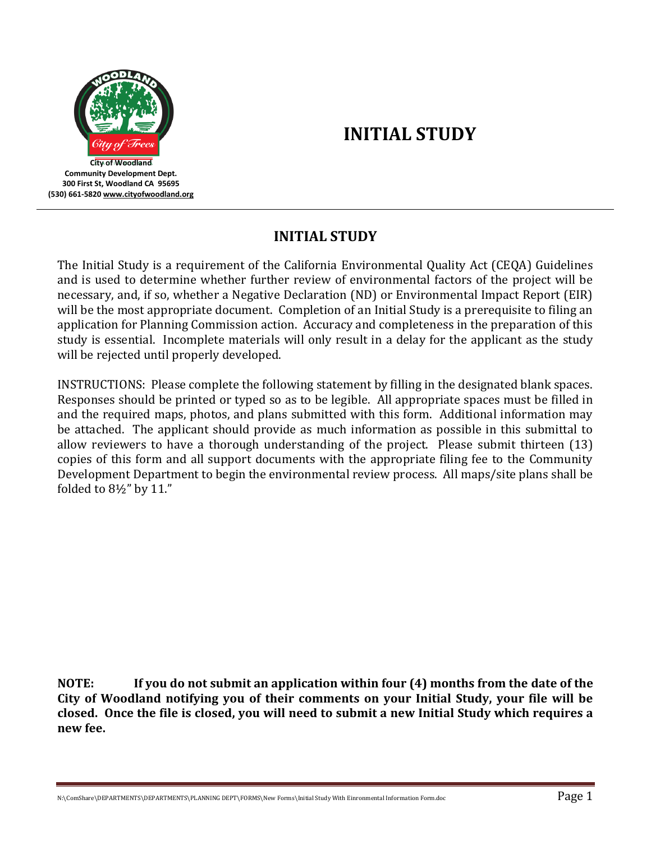

# **INITIAL STUDY**

## **INITIAL STUDY**

The Initial Study is a requirement of the California Environmental Quality Act (CEQA) Guidelines and is used to determine whether further review of environmental factors of the project will be necessary, and, if so, whether a Negative Declaration (ND) or Environmental Impact Report (EIR) will be the most appropriate document. Completion of an Initial Study is a prerequisite to filing an application for Planning Commission action. Accuracy and completeness in the preparation of this study is essential. Incomplete materials will only result in a delay for the applicant as the study will be rejected until properly developed.

INSTRUCTIONS: Please complete the following statement by filling in the designated blank spaces. Responses should be printed or typed so as to be legible. All appropriate spaces must be filled in and the required maps, photos, and plans submitted with this form. Additional information may be attached. The applicant should provide as much information as possible in this submittal to allow reviewers to have a thorough understanding of the project. Please submit thirteen (13) copies of this form and all support documents with the appropriate filing fee to the Community Development Department to begin the environmental review process. All maps/site plans shall be folded to 8½" by 11."

**NOTE: If you do not submit an application within four (4) months from the date of the City of Woodland notifying you of their comments on your Initial Study, your file will be closed. Once the file is closed, you will need to submit a new Initial Study which requires a new fee.**

N:\ComShare\DEPARTMENTS\DEPARTMENTS\PLANNING DEPT\FORMS\New Forms\Initial Study With Einronmental Information Form.doc  $\rm{Page~1}$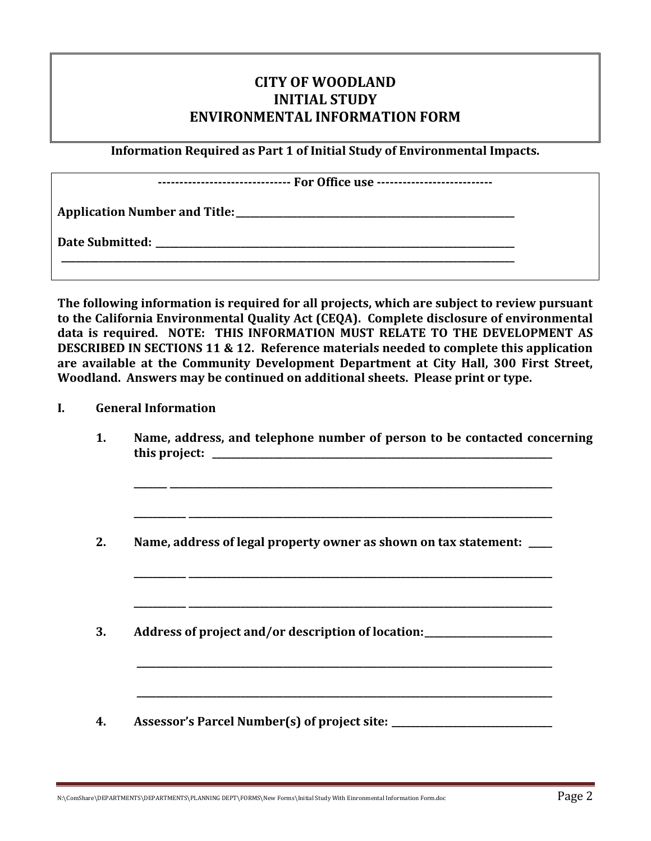## **CITY OF WOODLAND INITIAL STUDY ENVIRONMENTAL INFORMATION FORM**

**Information Required as Part 1 of Initial Study of Environmental Impacts.**

|  | ------------------------------- For Office use ------------------------- |
|--|--------------------------------------------------------------------------|
|--|--------------------------------------------------------------------------|

**Application Number and Title:\_\_\_\_\_\_\_\_\_\_\_\_\_\_\_\_\_\_\_\_\_\_\_\_\_\_\_\_\_\_\_\_\_\_\_\_\_\_\_\_\_\_\_\_\_\_\_\_\_\_\_\_\_\_\_\_\_\_\_**

**\_\_\_\_\_\_\_\_\_\_\_\_\_\_\_\_\_\_\_\_\_\_\_\_\_\_\_\_\_\_\_\_\_\_\_\_\_\_\_\_\_\_\_\_\_\_\_\_\_\_\_\_\_\_\_\_\_\_\_\_\_\_\_\_\_\_\_\_\_\_\_\_\_\_\_\_\_\_\_\_\_\_\_\_\_\_\_\_\_\_\_\_\_\_\_\_**

**Date Submitted: \_\_\_\_\_\_\_\_\_\_\_\_\_\_\_\_\_\_\_\_\_\_\_\_\_\_\_\_\_\_\_\_\_\_\_\_\_\_\_\_\_\_\_\_\_\_\_\_\_\_\_\_\_\_\_\_\_\_\_\_\_\_\_\_\_\_\_\_\_\_\_\_\_\_\_\_**

**The following information is required for all projects, which are subject to review pursuant to the California Environmental Quality Act (CEQA). Complete disclosure of environmental data is required. NOTE: THIS INFORMATION MUST RELATE TO THE DEVELOPMENT AS DESCRIBED IN SECTIONS 11 & 12. Reference materials needed to complete this application are available at the Community Development Department at City Hall, 300 First Street, Woodland. Answers may be continued on additional sheets. Please print or type.**

#### **I. General Information**

**1. Name, address, and telephone number of person to be contacted concerning this project: \_\_\_\_\_\_\_\_\_\_\_\_\_\_\_\_\_\_\_\_\_\_\_\_\_\_\_\_\_\_\_\_\_\_\_\_\_\_\_\_\_\_\_\_\_\_\_\_\_\_\_\_\_\_\_\_\_\_\_\_\_\_\_\_\_\_\_\_\_\_\_\_**

**\_\_\_\_\_\_\_ \_\_\_\_\_\_\_\_\_\_\_\_\_\_\_\_\_\_\_\_\_\_\_\_\_\_\_\_\_\_\_\_\_\_\_\_\_\_\_\_\_\_\_\_\_\_\_\_\_\_\_\_\_\_\_\_\_\_\_\_\_\_\_\_\_\_\_\_\_\_\_\_\_\_\_\_\_\_\_\_\_**

**\_\_\_\_\_\_\_\_\_\_\_ \_\_\_\_\_\_\_\_\_\_\_\_\_\_\_\_\_\_\_\_\_\_\_\_\_\_\_\_\_\_\_\_\_\_\_\_\_\_\_\_\_\_\_\_\_\_\_\_\_\_\_\_\_\_\_\_\_\_\_\_\_\_\_\_\_\_\_\_\_\_\_\_\_\_\_\_\_**

**\_\_\_\_\_\_\_\_\_\_\_ \_\_\_\_\_\_\_\_\_\_\_\_\_\_\_\_\_\_\_\_\_\_\_\_\_\_\_\_\_\_\_\_\_\_\_\_\_\_\_\_\_\_\_\_\_\_\_\_\_\_\_\_\_\_\_\_\_\_\_\_\_\_\_\_\_\_\_\_\_\_\_\_\_\_\_\_\_**

**\_\_\_\_\_\_\_\_\_\_\_ \_\_\_\_\_\_\_\_\_\_\_\_\_\_\_\_\_\_\_\_\_\_\_\_\_\_\_\_\_\_\_\_\_\_\_\_\_\_\_\_\_\_\_\_\_\_\_\_\_\_\_\_\_\_\_\_\_\_\_\_\_\_\_\_\_\_\_\_\_\_\_\_\_\_\_\_\_**

**\_\_\_\_\_\_\_\_\_\_\_\_\_\_\_\_\_\_\_\_\_\_\_\_\_\_\_\_\_\_\_\_\_\_\_\_\_\_\_\_\_\_\_\_\_\_\_\_\_\_\_\_\_\_\_\_\_\_\_\_\_\_\_\_\_\_\_\_\_\_\_\_\_\_\_\_\_\_\_\_\_\_\_\_\_\_\_\_**

**\_\_\_\_\_\_\_\_\_\_\_\_\_\_\_\_\_\_\_\_\_\_\_\_\_\_\_\_\_\_\_\_\_\_\_\_\_\_\_\_\_\_\_\_\_\_\_\_\_\_\_\_\_\_\_\_\_\_\_\_\_\_\_\_\_\_\_\_\_\_\_\_\_\_\_\_\_\_\_\_\_\_\_\_\_\_\_\_**

- **2. Name, address of legal property owner as shown on tax statement: \_\_\_\_\_**
- **3. Address of project and/or description of location:\_\_\_\_\_\_\_\_\_\_\_\_\_\_\_\_\_\_\_\_\_\_\_\_\_\_\_**
- **4. Assessor's Parcel Number(s) of project site: \_\_\_\_\_\_\_\_\_\_\_\_\_\_\_\_\_\_\_\_\_\_\_\_\_\_\_\_\_\_\_\_\_\_**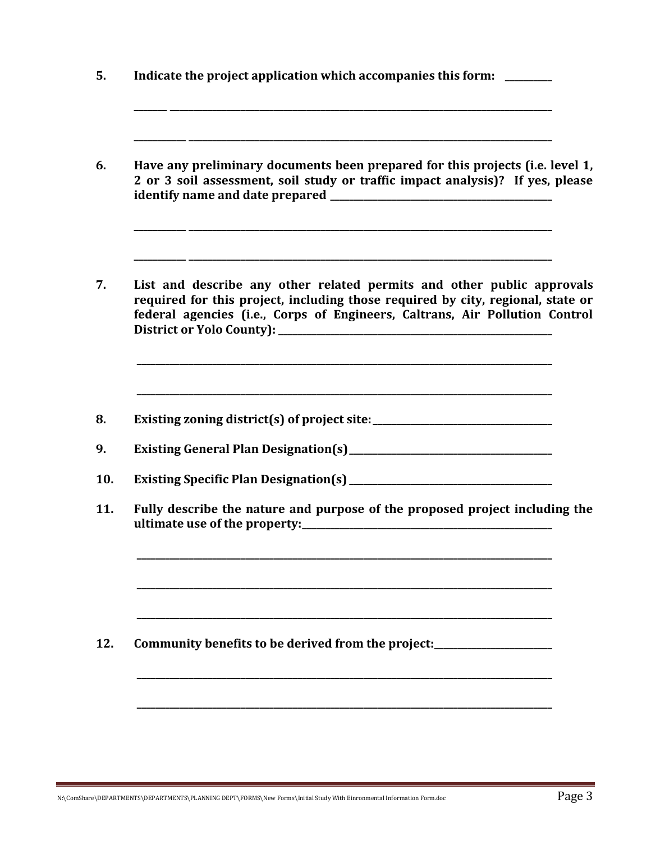| Have any preliminary documents been prepared for this projects (i.e. level 1,<br>2 or 3 soil assessment, soil study or traffic impact analysis)? If yes, please                                                                          |
|------------------------------------------------------------------------------------------------------------------------------------------------------------------------------------------------------------------------------------------|
| List and describe any other related permits and other public approvals<br>required for this project, including those required by city, regional, state or<br>federal agencies (i.e., Corps of Engineers, Caltrans, Air Pollution Control |
| Existing zoning district(s) of project site: ___________________________________                                                                                                                                                         |
|                                                                                                                                                                                                                                          |
|                                                                                                                                                                                                                                          |
| Fully describe the nature and purpose of the proposed project including the                                                                                                                                                              |
|                                                                                                                                                                                                                                          |
| Community benefits to be derived from the project:<br><u>Lettic manual</u>                                                                                                                                                               |
|                                                                                                                                                                                                                                          |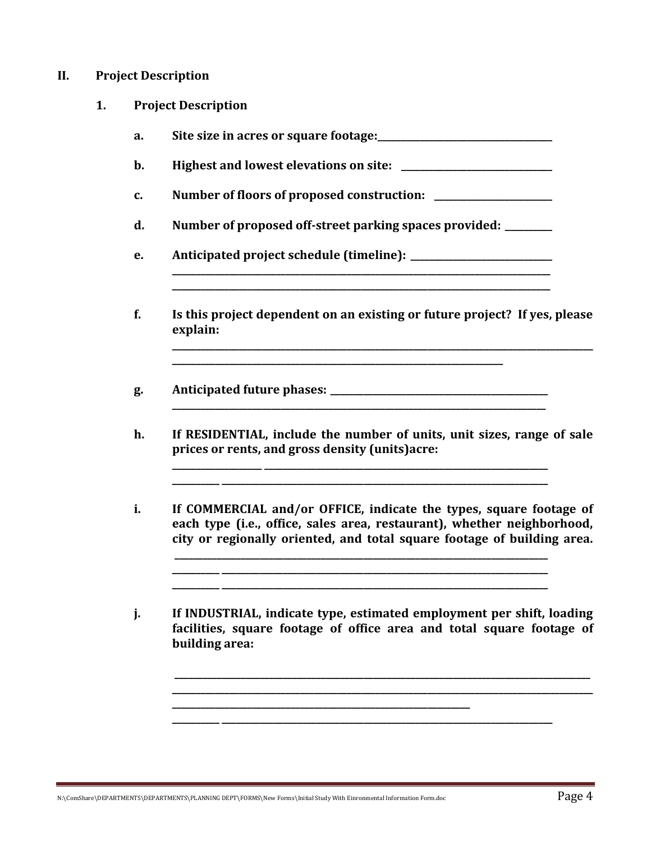#### **II. Project Description**

- **1. Project Description**
	- **a. Site size in acres or square footage:\_\_\_\_\_\_\_\_\_\_\_\_\_\_\_\_\_\_\_\_\_\_\_\_\_\_\_\_\_\_\_\_\_\_\_\_\_**
	- **b. Highest and lowest elevations on site:**  $\qquad \qquad$
	- c. Number of floors of proposed construction:
	- **d. Number of proposed off-street parking spaces provided: \_\_\_\_\_\_\_\_\_\_**
	- **e. Anticipated project schedule (timeline): \_\_\_\_\_\_\_\_\_\_\_\_\_\_\_\_\_\_\_\_\_\_\_\_\_\_\_\_\_\_**
	- **f. Is this project dependent on an existing or future project? If yes, please explain:**

**\_\_\_\_\_\_\_\_\_\_\_\_\_\_\_\_\_\_\_\_\_\_\_\_\_\_\_\_\_\_\_\_\_\_\_\_\_\_\_\_\_\_\_\_\_\_\_\_\_\_\_\_\_\_\_\_\_\_\_\_\_\_\_\_\_\_\_\_\_\_**

**\_\_\_\_\_\_\_\_\_\_\_\_\_\_\_\_\_\_\_\_\_\_\_\_\_\_\_\_\_\_\_\_\_\_\_\_\_\_\_\_\_\_\_\_\_\_\_\_\_\_\_\_\_\_\_\_\_\_\_\_\_\_\_\_\_\_\_\_\_\_\_\_\_\_\_\_\_\_\_**

**\_\_\_\_\_\_\_\_\_\_\_\_\_\_\_\_\_\_\_\_\_\_\_\_\_\_\_\_\_\_\_\_\_\_\_\_\_\_\_\_\_\_\_\_\_\_\_\_\_\_\_\_\_\_\_\_\_\_\_\_\_\_\_\_\_\_\_\_\_\_\_\_\_\_\_\_\_\_\_\_**

**\_\_\_\_\_\_\_\_\_\_\_\_\_\_\_\_\_\_\_\_\_\_\_\_\_\_\_\_\_\_\_\_\_\_\_\_\_\_\_\_\_\_\_\_\_\_\_\_\_\_\_\_\_\_\_\_\_\_\_\_\_\_\_\_\_\_\_\_\_\_\_\_\_\_\_\_\_\_\_\_**

**\_\_\_\_\_\_\_\_\_\_\_\_\_\_\_\_\_\_\_\_\_\_\_\_\_\_\_\_\_\_\_\_\_\_\_\_\_\_\_\_\_\_\_\_\_\_\_\_\_\_\_\_\_\_\_\_\_\_\_\_\_\_\_\_\_\_\_\_\_\_\_\_\_\_\_\_\_\_\_\_\_\_\_\_\_\_\_\_\_**

**g. Anticipated future phases: \_\_\_\_\_\_\_\_\_\_\_\_\_\_\_\_\_\_\_\_\_\_\_\_\_\_\_\_\_\_\_\_\_\_\_\_\_\_\_\_\_\_\_\_\_\_**

**\_\_\_\_\_\_\_\_\_\_\_\_\_\_\_\_\_\_\_ \_\_\_\_\_\_\_\_\_\_\_\_\_\_\_\_\_\_\_\_\_\_\_\_\_\_\_\_\_\_\_\_\_\_\_\_\_\_\_\_\_\_\_\_\_\_\_\_\_\_\_\_\_\_\_\_\_\_\_\_**

**h. If RESIDENTIAL, include the number of units, unit sizes, range of sale prices or rents, and gross density (units)acre:**

**\_\_\_\_\_\_\_\_\_\_ \_\_\_\_\_\_\_\_\_\_\_\_\_\_\_\_\_\_\_\_\_\_\_\_\_\_\_\_\_\_\_\_\_\_\_\_\_\_\_\_\_\_\_\_\_\_\_\_\_\_\_\_\_\_\_\_\_\_\_\_\_\_\_\_\_\_\_\_\_**

**i. If COMMERCIAL and/or OFFICE, indicate the types, square footage of each type (i.e., office, sales area, restaurant), whether neighborhood, city or regionally oriented, and total square footage of building area.**

**\_\_\_\_\_\_\_\_\_\_ \_\_\_\_\_\_\_\_\_\_\_\_\_\_\_\_\_\_\_\_\_\_\_\_\_\_\_\_\_\_\_\_\_\_\_\_\_\_\_\_\_\_\_\_\_\_\_\_\_\_\_\_\_\_\_\_\_\_\_\_\_\_\_\_\_\_\_\_\_ \_\_\_\_\_\_\_\_\_\_ \_\_\_\_\_\_\_\_\_\_\_\_\_\_\_\_\_\_\_\_\_\_\_\_\_\_\_\_\_\_\_\_\_\_\_\_\_\_\_\_\_\_\_\_\_\_\_\_\_\_\_\_\_\_\_\_\_\_\_\_\_\_\_\_\_\_\_\_\_**

**\_\_\_\_\_\_\_\_\_\_\_\_\_\_\_\_\_\_\_\_\_\_\_\_\_\_\_\_\_\_\_\_\_\_\_\_\_\_\_\_\_\_\_\_\_\_\_\_\_\_\_\_\_\_\_\_\_\_\_\_\_\_\_\_\_\_\_\_\_\_\_\_\_\_\_\_\_\_\_**

**j. If INDUSTRIAL, indicate type, estimated employment per shift, loading facilities, square footage of office area and total square footage of building area:**

**\_\_\_\_\_\_\_\_\_\_ \_\_\_\_\_\_\_\_\_\_\_\_\_\_\_\_\_\_\_\_\_\_\_\_\_\_\_\_\_\_\_\_\_\_\_\_\_\_\_\_\_\_\_\_\_\_\_\_\_\_\_\_\_\_\_\_\_\_\_\_\_\_\_\_\_\_\_\_\_\_**

**\_\_\_\_\_\_\_\_\_\_\_\_\_\_\_\_\_\_\_\_\_\_\_\_\_\_\_\_\_\_\_\_\_\_\_\_\_\_\_\_\_\_\_\_\_\_\_\_\_\_\_\_\_\_\_\_\_\_\_\_\_\_\_\_\_\_\_\_\_\_\_\_\_\_\_\_\_\_\_\_\_\_\_\_\_\_\_\_ \_\_\_\_\_\_\_\_\_\_\_\_\_\_\_\_\_\_\_\_\_\_\_\_\_\_\_\_\_\_\_\_\_\_\_\_\_\_\_\_\_\_\_\_\_\_\_\_\_\_\_\_\_\_\_\_\_\_\_\_\_\_\_\_\_\_\_\_\_\_\_\_\_\_\_\_\_\_\_\_\_\_\_\_\_\_\_\_\_**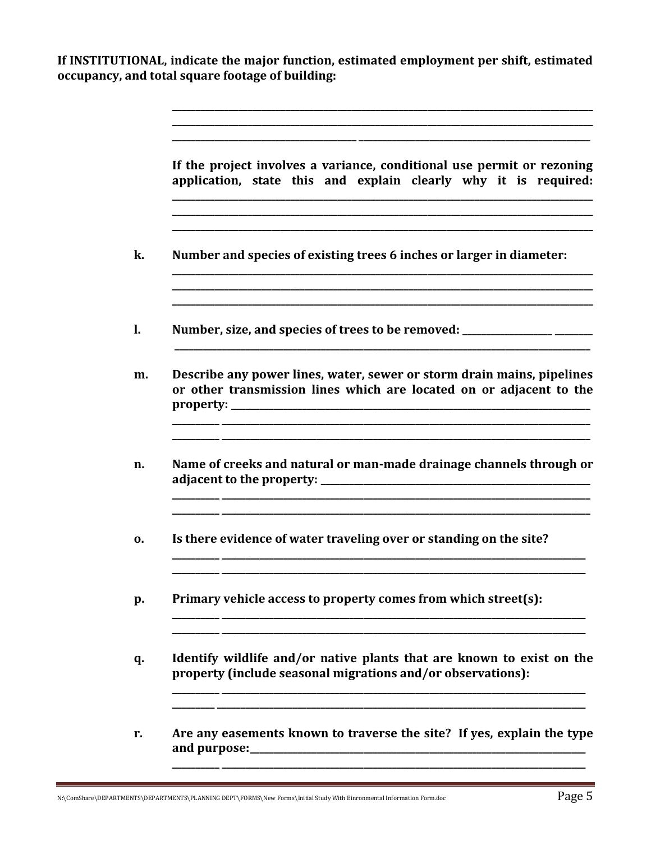If INSTITUTIONAL, indicate the major function, estimated employment per shift, estimated occupancy, and total square footage of building:

| If the project involves a variance, conditional use permit or rezoning<br>application, state this and explain clearly why it is required:     |  |  |  |  |  |
|-----------------------------------------------------------------------------------------------------------------------------------------------|--|--|--|--|--|
| Number and species of existing trees 6 inches or larger in diameter:                                                                          |  |  |  |  |  |
| Number, size, and species of trees to be removed: _______________________________                                                             |  |  |  |  |  |
| Describe any power lines, water, sewer or storm drain mains, pipelines<br>or other transmission lines which are located on or adjacent to the |  |  |  |  |  |
| Name of creeks and natural or man-made drainage channels through or                                                                           |  |  |  |  |  |
| Is there evidence of water traveling over or standing on the site?                                                                            |  |  |  |  |  |
| Primary vehicle access to property comes from which street(s):                                                                                |  |  |  |  |  |
| Identify wildlife and/or native plants that are known to exist on the<br>property (include seasonal migrations and/or observations):          |  |  |  |  |  |
| Are any easements known to traverse the site? If yes, explain the type                                                                        |  |  |  |  |  |
|                                                                                                                                               |  |  |  |  |  |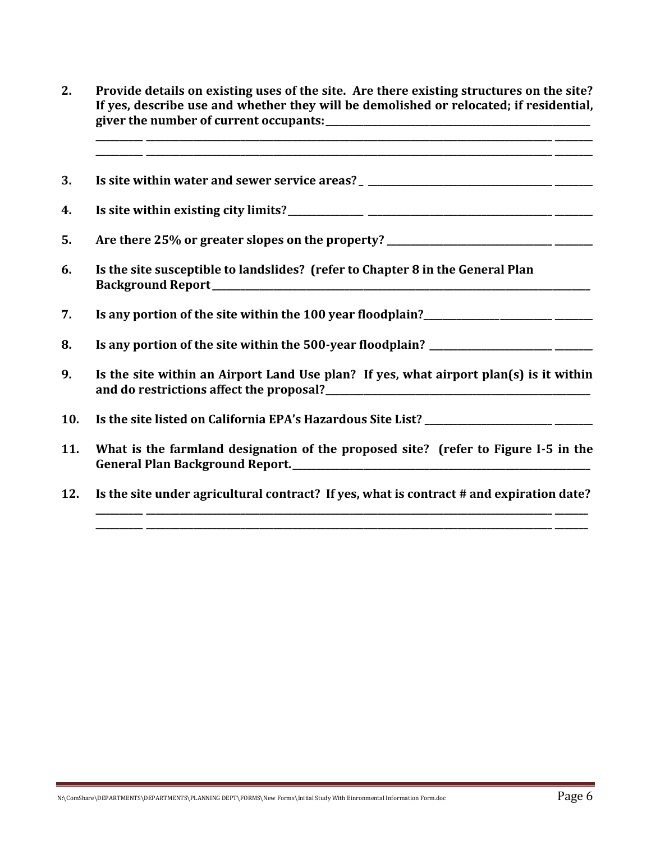**2. Provide details on existing uses of the site. Are there existing structures on the site? If yes, describe use and whether they will be demolished or relocated; if residential, giver the number of current occupants:\_\_\_\_\_\_\_\_\_\_\_\_\_\_\_\_\_\_\_\_\_\_\_\_\_\_\_\_\_\_\_\_\_\_\_\_\_\_\_\_\_\_\_\_\_\_\_\_\_\_\_\_\_\_\_\_**

**\_\_\_\_\_\_\_\_\_\_ \_\_\_\_\_\_\_\_\_\_\_\_\_\_\_\_\_\_\_\_\_\_\_\_\_\_\_\_\_\_\_\_\_\_\_\_\_\_\_\_\_\_\_\_\_\_\_\_\_\_\_\_\_\_\_\_\_\_\_\_\_\_\_\_\_\_\_\_\_\_\_\_\_\_\_\_\_\_\_\_\_\_\_\_\_\_ \_\_\_\_\_\_\_\_**

**3. Is site within water and sewer service areas? \_ \_\_\_\_\_\_\_\_\_\_\_\_\_\_\_\_\_\_\_\_\_\_\_\_\_\_\_\_\_\_\_\_\_\_\_\_\_\_\_ \_\_\_\_\_\_\_\_**

**4. Is site within existing city limits?\_\_\_\_\_\_\_\_\_\_\_\_\_\_\_\_ \_\_\_\_\_\_\_\_\_\_\_\_\_\_\_\_\_\_\_\_\_\_\_\_\_\_\_\_\_\_\_\_\_\_\_\_\_\_\_ \_\_\_\_\_\_\_\_**

**5. Are there 25% or greater slopes on the property? \_\_\_\_\_\_\_\_\_\_\_\_\_\_\_\_\_\_\_\_\_\_\_\_\_\_\_\_\_\_\_\_\_\_\_ \_\_\_\_\_\_\_\_**

**6. Is the site susceptible to landslides? (refer to Chapter 8 in the General Plan Background Report\_\_\_\_\_\_\_\_\_\_\_\_\_\_\_\_\_\_\_\_\_\_\_\_\_\_\_\_\_\_\_\_\_\_\_\_\_\_\_\_\_\_\_\_\_\_\_\_\_\_\_\_\_\_\_\_\_\_\_\_\_\_\_\_\_\_\_\_\_\_\_\_\_\_\_\_\_\_\_\_**

**7. Is any portion of the site within the 100 year floodplain?\_\_\_\_\_\_\_\_\_\_\_\_\_\_\_\_\_\_\_\_\_\_\_\_\_\_\_ \_\_\_\_\_\_\_\_**

- **8. Is any portion of the site within the 500-year floodplain? \_\_\_\_\_\_\_\_\_\_\_\_\_\_\_\_\_\_\_\_\_\_\_\_\_\_ \_\_\_\_\_\_\_\_**
- **9. Is the site within an Airport Land Use plan? If yes, what airport plan(s) is it within and do restrictions affect the proposal?\_\_\_\_\_\_\_\_\_\_\_\_\_\_\_\_\_\_\_\_\_\_\_\_\_\_\_\_\_\_\_\_\_\_\_\_\_\_\_\_\_\_\_\_\_\_\_\_\_\_\_\_\_\_\_\_**

**10. Is the site listed on California EPA's Hazardous Site List? \_\_\_\_\_\_\_\_\_\_\_\_\_\_\_\_\_\_\_\_\_\_\_\_\_\_\_ \_\_\_\_\_\_\_\_**

- **11. What is the farmland designation of the proposed site? (refer to Figure I-5 in the**  General Plan Background Report.
- **12. Is the site under agricultural contract? If yes, what is contract # and expiration date?**

**\_\_\_\_\_\_\_\_\_\_ \_\_\_\_\_\_\_\_\_\_\_\_\_\_\_\_\_\_\_\_\_\_\_\_\_\_\_\_\_\_\_\_\_\_\_\_\_\_\_\_\_\_\_\_\_\_\_\_\_\_\_\_\_\_\_\_\_\_\_\_\_\_\_\_\_\_\_\_\_\_\_\_\_\_\_\_\_\_\_\_\_\_\_\_\_\_ \_\_\_\_\_\_\_ \_\_\_\_\_\_\_\_\_\_ \_\_\_\_\_\_\_\_\_\_\_\_\_\_\_\_\_\_\_\_\_\_\_\_\_\_\_\_\_\_\_\_\_\_\_\_\_\_\_\_\_\_\_\_\_\_\_\_\_\_\_\_\_\_\_\_\_\_\_\_\_\_\_\_\_\_\_\_\_\_\_\_\_\_\_\_\_\_\_\_\_\_\_\_\_\_ \_\_\_\_\_\_\_**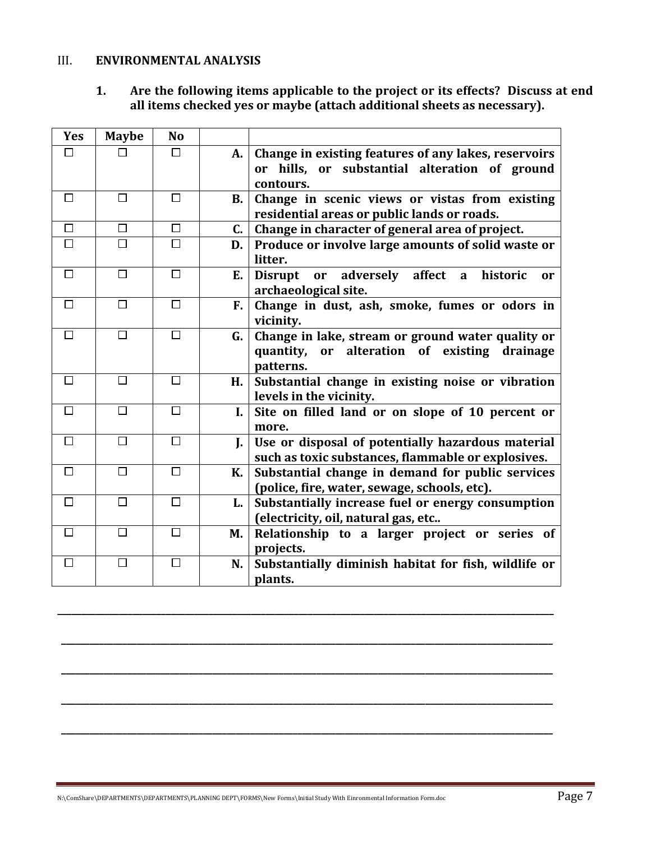### III. **ENVIRONMENTAL ANALYSIS**

**1. Are the following items applicable to the project or its effects? Discuss at end all items checked yes or maybe (attach additional sheets as necessary).**

| <b>Yes</b> | <b>Maybe</b> | <b>No</b> |           |                                                                                                                   |
|------------|--------------|-----------|-----------|-------------------------------------------------------------------------------------------------------------------|
| □          |              | □         | A.        | Change in existing features of any lakes, reservoirs                                                              |
|            |              |           |           | or hills, or substantial alteration of ground                                                                     |
|            |              |           |           | contours.                                                                                                         |
| П          | П            | □         | <b>B.</b> | Change in scenic views or vistas from existing                                                                    |
|            |              |           |           | residential areas or public lands or roads.                                                                       |
| $\Box$     | П            | □         | C.        | Change in character of general area of project.                                                                   |
| $\Box$     | П            | $\Box$    | D.        | Produce or involve large amounts of solid waste or<br>litter.                                                     |
| $\Box$     | $\Box$       | $\Box$    | E.        | Disrupt or adversely affect a historic<br>or<br>archaeological site.                                              |
| □          | $\Box$       | $\Box$    | F.        | Change in dust, ash, smoke, fumes or odors in<br>vicinity.                                                        |
| $\Box$     | П            | $\Box$    | G.        | Change in lake, stream or ground water quality or<br>quantity, or alteration of existing<br>drainage<br>patterns. |
| $\Box$     | П            | $\Box$    | H.        | Substantial change in existing noise or vibration<br>levels in the vicinity.                                      |
| $\Box$     | П            | □         | L.        | Site on filled land or on slope of 10 percent or<br>more.                                                         |
| П          | П            | П         | L.        | Use or disposal of potentially hazardous material<br>such as toxic substances, flammable or explosives.           |
| $\Box$     | П            | □         | К.        | Substantial change in demand for public services<br>(police, fire, water, sewage, schools, etc).                  |
| □          | $\Box$       | $\Box$    | L.        | Substantially increase fuel or energy consumption<br>(electricity, oil, natural gas, etc                          |
| $\Box$     | П            | $\Box$    | M.        | Relationship to a larger project or series of<br>projects.                                                        |
| $\Box$     | П            | □         | N.        | Substantially diminish habitat for fish, wildlife or<br>plants.                                                   |

**\_\_\_\_\_\_\_\_\_\_\_\_\_\_\_\_\_\_\_\_\_\_\_\_\_\_\_\_\_\_\_\_\_\_\_\_\_\_\_\_\_\_\_\_\_\_\_\_\_\_\_\_\_\_\_\_\_\_\_\_\_\_\_\_\_\_\_\_\_\_\_\_\_\_\_\_\_\_\_\_\_\_\_\_\_\_\_\_\_\_\_\_\_\_\_\_\_\_\_\_\_\_\_\_\_**

**\_\_\_\_\_\_\_\_\_\_\_\_\_\_\_\_\_\_\_\_\_\_\_\_\_\_\_\_\_\_\_\_\_\_\_\_\_\_\_\_\_\_\_\_\_\_\_\_\_\_\_\_\_\_\_\_\_\_\_\_\_\_\_\_\_\_\_\_\_\_\_\_\_\_\_\_\_\_\_\_\_\_\_\_\_\_\_\_\_\_\_\_\_\_\_\_\_\_\_\_\_\_\_\_**

**\_\_\_\_\_\_\_\_\_\_\_\_\_\_\_\_\_\_\_\_\_\_\_\_\_\_\_\_\_\_\_\_\_\_\_\_\_\_\_\_\_\_\_\_\_\_\_\_\_\_\_\_\_\_\_\_\_\_\_\_\_\_\_\_\_\_\_\_\_\_\_\_\_\_\_\_\_\_\_\_\_\_\_\_\_\_\_\_\_\_\_\_\_\_\_\_\_\_\_\_\_\_\_\_**

**\_\_\_\_\_\_\_\_\_\_\_\_\_\_\_\_\_\_\_\_\_\_\_\_\_\_\_\_\_\_\_\_\_\_\_\_\_\_\_\_\_\_\_\_\_\_\_\_\_\_\_\_\_\_\_\_\_\_\_\_\_\_\_\_\_\_\_\_\_\_\_\_\_\_\_\_\_\_\_\_\_\_\_\_\_\_\_\_\_\_\_\_\_\_\_\_\_\_\_\_\_\_\_\_**

**\_\_\_\_\_\_\_\_\_\_\_\_\_\_\_\_\_\_\_\_\_\_\_\_\_\_\_\_\_\_\_\_\_\_\_\_\_\_\_\_\_\_\_\_\_\_\_\_\_\_\_\_\_\_\_\_\_\_\_\_\_\_\_\_\_\_\_\_\_\_\_\_\_\_\_\_\_\_\_\_\_\_\_\_\_\_\_\_\_\_\_\_\_\_\_\_\_\_\_\_\_\_\_\_**